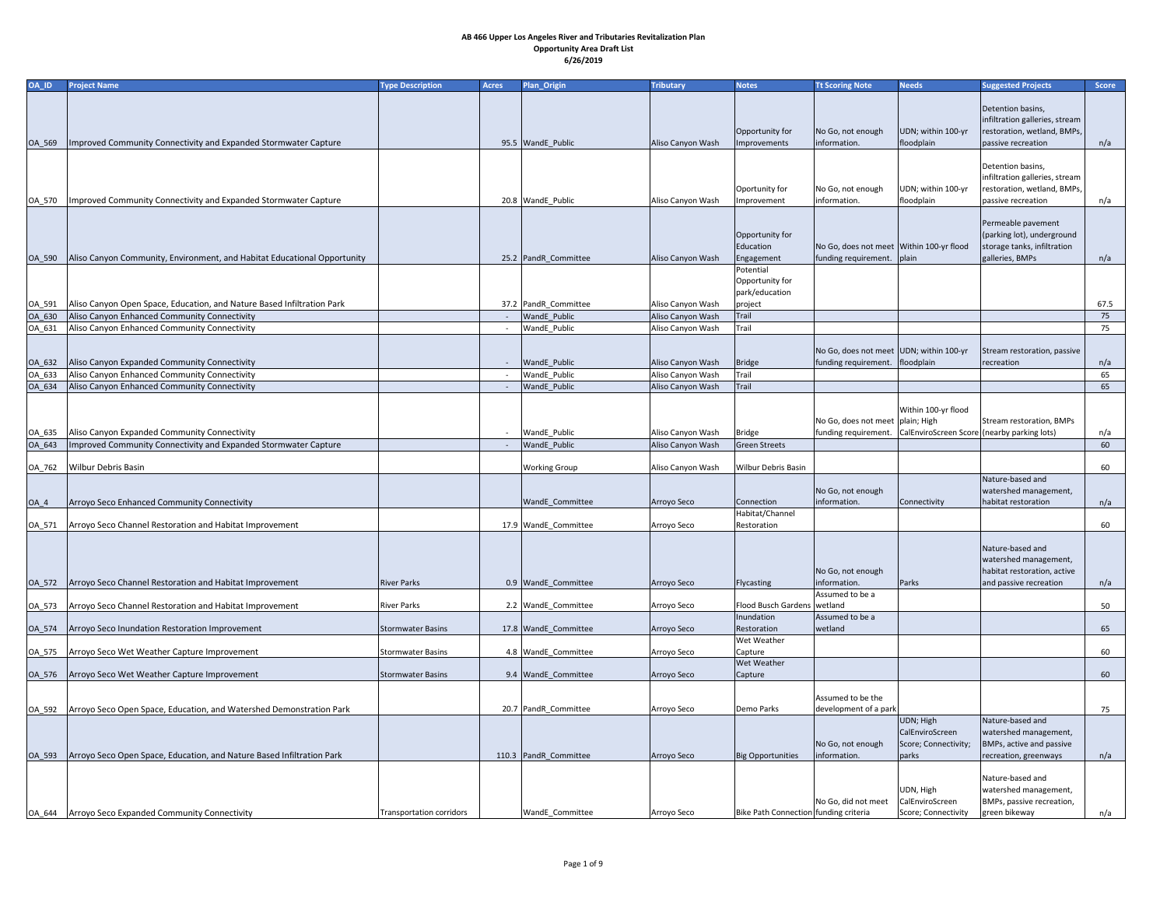| OA_ID    | <b>Project Name</b>                                                                                                      | <b>Type Description</b>  | <b>Acres</b> | Plan_Origin                           | <b>Tributary</b>                       | <b>Notes</b>                                   | <b>Tt Scoring Note</b>                                                                                 | <b>Needs</b>                                                  | <b>Suggested Projects</b>                                                                                | Score     |
|----------|--------------------------------------------------------------------------------------------------------------------------|--------------------------|--------------|---------------------------------------|----------------------------------------|------------------------------------------------|--------------------------------------------------------------------------------------------------------|---------------------------------------------------------------|----------------------------------------------------------------------------------------------------------|-----------|
| OA_569   | Improved Community Connectivity and Expanded Stormwater Capture                                                          |                          |              | 95.5 WandE_Public                     | Aliso Canyon Wash                      | Opportunity for<br>Improvements                | No Go, not enough<br>information.                                                                      | UDN; within 100-yı<br>floodplain                              | Detention basins,<br>infiltration galleries, stream<br>restoration, wetland, BMPs,<br>passive recreation | n/a       |
| OA 570   | Improved Community Connectivity and Expanded Stormwater Capture                                                          |                          |              | 20.8 WandE Public                     | Aliso Canyon Wash                      | Oportunity for<br>Improvement                  | No Go, not enough<br>information.                                                                      | UDN; within 100-yı<br>floodplain                              | Detention basins,<br>infiltration galleries, stream<br>restoration, wetland, BMPs,<br>passive recreation | n/a       |
| OA_590   | Aliso Canyon Community, Environment, and Habitat Educational Opportunity                                                 |                          |              | 25.2 PandR_Committee                  | Aliso Canyon Wash                      | Opportunity for<br>Education<br>Engagement     | No Go, does not meet Within 100-yr flood<br>funding requirement.   plain                               |                                                               | Permeable pavement<br>(parking lot), underground<br>storage tanks, infiltration<br>galleries, BMPs       | n/a       |
|          | Aliso Canyon Open Space, Education, and Nature Based Infiltration Park                                                   |                          |              | 37.2 PandR Committee                  |                                        | Potential<br>Opportunity for<br>park/education |                                                                                                        |                                                               |                                                                                                          |           |
| $OA_591$ |                                                                                                                          |                          |              |                                       | Aliso Canyon Wash                      | project                                        |                                                                                                        |                                                               |                                                                                                          | 67.5      |
| OA_630   | Aliso Canyon Enhanced Community Connectivity                                                                             |                          |              | <b>WandE</b> Public                   | Aliso Canyon Wash                      | Trail                                          |                                                                                                        |                                                               |                                                                                                          | 75        |
| OA_631   | Aliso Canyon Enhanced Community Connectivity                                                                             |                          |              | WandE_Public                          | Aliso Canyon Wash                      | Trail                                          | No Go, does not meet UDN; within 100-yr                                                                |                                                               | Stream restoration, passive                                                                              | 75        |
| OA_632   | Aliso Canyon Expanded Community Connectivity                                                                             |                          |              | <b>WandE</b> Public                   | Aliso Canyon Wash                      | Bridge                                         | funding requirement.   floodplain                                                                      |                                                               | recreation                                                                                               | n/a       |
| OA_633   | Aliso Canyon Enhanced Community Connectivity                                                                             |                          |              | <b>WandE</b> Public                   | Aliso Canyon Wash                      | Trail                                          |                                                                                                        |                                                               |                                                                                                          | 65        |
| OA_634   | Aliso Canyon Enhanced Community Connectivity                                                                             |                          |              | <b>WandE</b> Public                   | Aliso Canyon Wash                      | Trail                                          |                                                                                                        |                                                               |                                                                                                          | 65        |
| OA_643   | OA_635   Aliso Canyon Expanded Community Connectivity<br>Improved Community Connectivity and Expanded Stormwater Capture |                          |              | - WandE Public<br><b>WandE</b> Public | Aliso Canyon Wash<br>Aliso Canyon Wash | <b>Bridge</b><br><b>Green Streets</b>          | No Go, does not meet   plain; High<br>funding requirement. CalEnviroScreen Score (nearby parking lots) | Within 100-yr flood                                           | Stream restoration, BMPs                                                                                 | n/a<br>60 |
| OA_762   | Wilbur Debris Basin                                                                                                      |                          |              | <b>Working Group</b>                  | Aliso Canyon Wash                      | <b>Wilbur Debris Basin</b>                     |                                                                                                        |                                                               | Nature-based and                                                                                         | 60        |
| $OA_4$   | Arroyo Seco Enhanced Community Connectivity                                                                              |                          |              | WandE_Committee                       | Arroyo Seco                            | Connection                                     | No Go, not enough<br>information.                                                                      | Connectivity                                                  | watershed management,<br>habitat restoration                                                             | n/a       |
| OA_571   | Arroyo Seco Channel Restoration and Habitat Improvement                                                                  |                          |              | 17.9 WandE Committee                  | Arroyo Seco                            | Habitat/Channel<br>Restoration                 |                                                                                                        |                                                               |                                                                                                          | 60        |
| OA_572   | Arroyo Seco Channel Restoration and Habitat Improvement                                                                  | <b>River Parks</b>       |              | 0.9 WandE Committee                   | Arroyo Seco                            | Flycasting                                     | No Go, not enough<br>information.                                                                      | Parks                                                         | Nature-based and<br>watershed management,<br>habitat restoration, active<br>and passive recreation       | n/a       |
| OA 573   | Arroyo Seco Channel Restoration and Habitat Improvement                                                                  | <b>River Parks</b>       |              | 2.2 WandE Committee                   | Arroyo Seco                            | Flood Busch Gardens   wetland                  | Assumed to be a                                                                                        |                                                               |                                                                                                          | 50        |
| OA_574   | Arroyo Seco Inundation Restoration Improvement                                                                           | Stormwater Basins        |              | 17.8 WandE_Committee                  | Arroyo Seco                            | Inundation<br>Restoration                      | Assumed to be a<br>wetland                                                                             |                                                               |                                                                                                          | 65        |
| OA_575   | Arroyo Seco Wet Weather Capture Improvement                                                                              | Stormwater Basins        |              | 4.8 WandE Committee                   | Arroyo Seco                            | Wet Weather<br>Capture                         |                                                                                                        |                                                               |                                                                                                          | 60        |
|          | OA_576   Arroyo Seco Wet Weather Capture Improvement                                                                     | <b>Stormwater Basins</b> |              | 9.4 WandE Committee                   | Arroyo Seco                            | <b>Wet Weather</b><br>Capture                  |                                                                                                        |                                                               |                                                                                                          | 60        |
|          | OA_592   Arroyo Seco Open Space, Education, and Watershed Demonstration Park                                             |                          |              | 20.7   PandR_Committee                | Arroyo Seco                            | Demo Parks                                     | Assumed to be the<br>development of a park                                                             |                                                               |                                                                                                          | 75        |
| OA_593   | Arroyo Seco Open Space, Education, and Nature Based Infiltration Park                                                    |                          |              | 110.3   PandR_Committee               | Arroyo Seco                            | <b>Big Opportunities</b>                       | No Go, not enough<br>information.                                                                      | UDN; High<br>CalEnviroScreen<br>Score; Connectivity;<br>parks | Nature-based and<br>watershed management,<br>BMPs, active and passive<br>recreation, greenways           | n/a       |
|          |                                                                                                                          | Transportation corridors |              |                                       |                                        |                                                | No Go, did not meet                                                                                    | UDN, High<br>CalEnviroScreen                                  | Nature-based and<br>watershed management,<br>BMPs, passive recreation,                                   |           |
|          | OA_644   Arroyo Seco Expanded Community Connectivity                                                                     |                          |              | WandE_Committee                       | Arroyo Seco                            | Bike Path Connection funding criteria          |                                                                                                        | Score; Connectivity                                           | green bikeway                                                                                            | n/a       |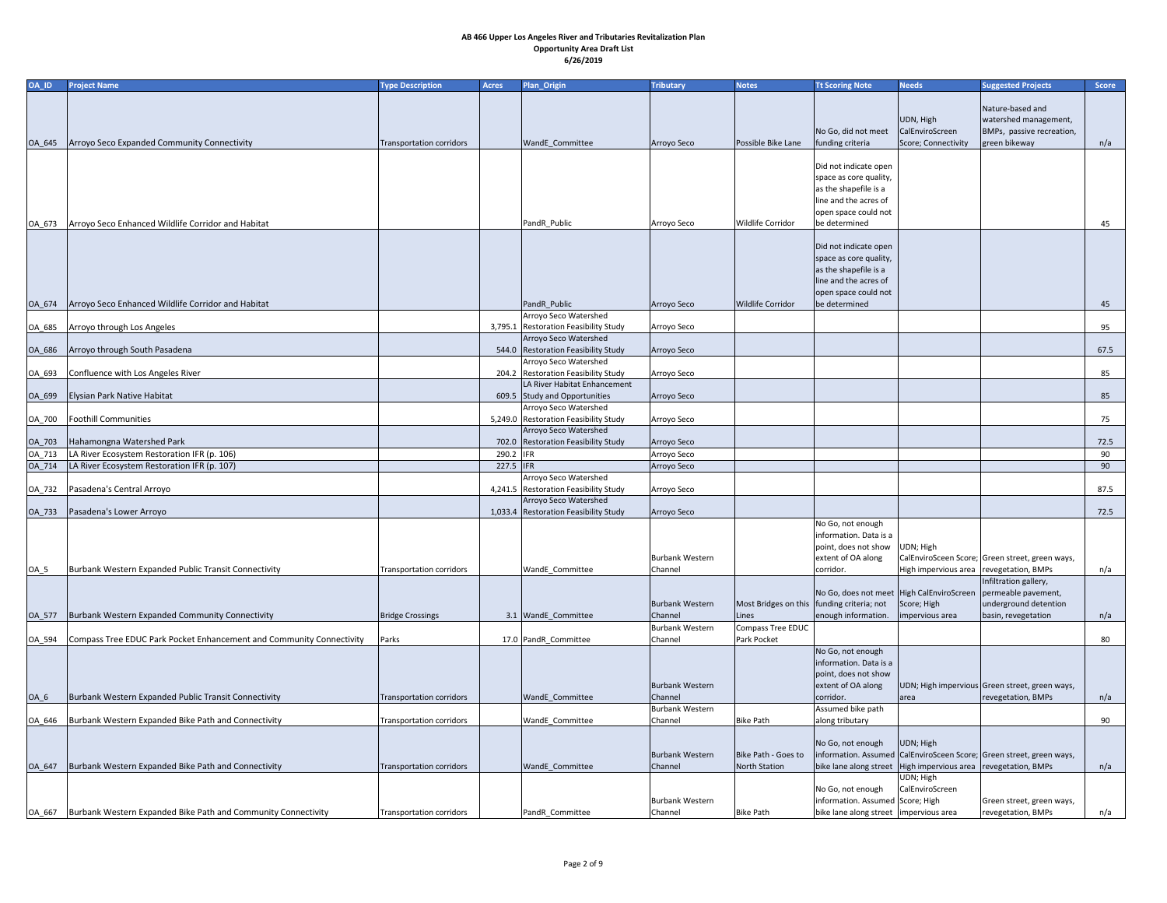| OA_ID  | <b>Project Name</b>                                                  | <b>Type Description</b>         | <b>Acres</b> | Plan_Origin                           | <b>Tributary</b>       | <b>Notes</b>                               | <b>Tt Scoring Note</b>                         | <b>Needs</b>                                                       | <b>Suggested Projects</b>                                            | Score |
|--------|----------------------------------------------------------------------|---------------------------------|--------------|---------------------------------------|------------------------|--------------------------------------------|------------------------------------------------|--------------------------------------------------------------------|----------------------------------------------------------------------|-------|
|        |                                                                      |                                 |              |                                       |                        |                                            |                                                |                                                                    |                                                                      |       |
|        |                                                                      |                                 |              |                                       |                        |                                            |                                                |                                                                    | Nature-based and                                                     |       |
|        |                                                                      |                                 |              |                                       |                        |                                            |                                                | UDN, High                                                          | watershed management,                                                |       |
|        |                                                                      |                                 |              |                                       |                        |                                            | No Go, did not meet                            | CalEnviroScreen                                                    | BMPs, passive recreation,                                            |       |
| OA_645 | Arroyo Seco Expanded Community Connectivity                          | Transportation corridors        |              | WandE_Committee                       | Arroyo Seco            | Possible Bike Lane                         | funding criteria                               | Score; Connectivity                                                | green bikeway                                                        | n/a   |
|        |                                                                      |                                 |              |                                       |                        |                                            |                                                |                                                                    |                                                                      |       |
|        |                                                                      |                                 |              |                                       |                        |                                            | Did not indicate open                          |                                                                    |                                                                      |       |
|        |                                                                      |                                 |              |                                       |                        |                                            | space as core quality,                         |                                                                    |                                                                      |       |
|        |                                                                      |                                 |              |                                       |                        |                                            | as the shapefile is a                          |                                                                    |                                                                      |       |
|        |                                                                      |                                 |              |                                       |                        |                                            | line and the acres of                          |                                                                    |                                                                      |       |
|        |                                                                      |                                 |              |                                       |                        |                                            | open space could not                           |                                                                    |                                                                      |       |
| OA_673 | Arroyo Seco Enhanced Wildlife Corridor and Habitat                   |                                 |              | PandR Public                          | Arroyo Seco            | Wildlife Corridor                          | be determined                                  |                                                                    |                                                                      | 45    |
|        |                                                                      |                                 |              |                                       |                        |                                            |                                                |                                                                    |                                                                      |       |
|        |                                                                      |                                 |              |                                       |                        |                                            | Did not indicate open                          |                                                                    |                                                                      |       |
|        |                                                                      |                                 |              |                                       |                        |                                            | space as core quality,                         |                                                                    |                                                                      |       |
|        |                                                                      |                                 |              |                                       |                        |                                            | as the shapefile is a<br>line and the acres of |                                                                    |                                                                      |       |
|        |                                                                      |                                 |              |                                       |                        |                                            | open space could not                           |                                                                    |                                                                      |       |
| OA_674 | Arroyo Seco Enhanced Wildlife Corridor and Habitat                   |                                 |              | PandR_Public                          | Arroyo Seco            | <b>Wildlife Corridor</b>                   | be determined                                  |                                                                    |                                                                      | 45    |
|        |                                                                      |                                 |              | Arroyo Seco Watershed                 |                        |                                            |                                                |                                                                    |                                                                      |       |
| OA_685 | Arroyo through Los Angeles                                           |                                 |              | 3,795.1 Restoration Feasibility Study | Arroyo Seco            |                                            |                                                |                                                                    |                                                                      | 95    |
|        |                                                                      |                                 |              | Arroyo Seco Watershed                 |                        |                                            |                                                |                                                                    |                                                                      |       |
| OA_686 | Arroyo through South Pasadena                                        |                                 |              | 544.0 Restoration Feasibility Study   | Arroyo Seco            |                                            |                                                |                                                                    |                                                                      | 67.5  |
|        |                                                                      |                                 |              | Arroyo Seco Watershed                 |                        |                                            |                                                |                                                                    |                                                                      |       |
| OA_693 | Confluence with Los Angeles River                                    |                                 |              | 204.2 Restoration Feasibility Study   | Arroyo Seco            |                                            |                                                |                                                                    |                                                                      | 85    |
|        |                                                                      |                                 |              | LA River Habitat Enhancement          |                        |                                            |                                                |                                                                    |                                                                      |       |
| OA_699 | Elysian Park Native Habitat                                          |                                 |              | 609.5 Study and Opportunities         | Arroyo Seco            |                                            |                                                |                                                                    |                                                                      | 85    |
|        |                                                                      |                                 |              | Arroyo Seco Watershed                 |                        |                                            |                                                |                                                                    |                                                                      |       |
| OA_700 | <b>Foothill Communities</b>                                          |                                 |              | 5,249.0 Restoration Feasibility Study | Arroyo Seco            |                                            |                                                |                                                                    |                                                                      | 75    |
|        |                                                                      |                                 |              | Arroyo Seco Watershed                 |                        |                                            |                                                |                                                                    |                                                                      |       |
| OA_703 | Hahamongna Watershed Park                                            |                                 |              | 702.0 Restoration Feasibility Study   | Arroyo Seco            |                                            |                                                |                                                                    |                                                                      | 72.5  |
| OA_713 | LA River Ecosystem Restoration IFR (p. 106)                          |                                 | 290.2 IFR    |                                       | Arroyo Seco            |                                            |                                                |                                                                    |                                                                      | 90    |
| OA_714 | LA River Ecosystem Restoration IFR (p. 107)                          |                                 | 227.5 IFR    |                                       | Arroyo Seco            |                                            |                                                |                                                                    |                                                                      | 90    |
|        |                                                                      |                                 |              | Arroyo Seco Watershed                 |                        |                                            |                                                |                                                                    |                                                                      |       |
| OA_732 | Pasadena's Central Arroyo                                            |                                 |              | 4,241.5 Restoration Feasibility Study | Arroyo Seco            |                                            |                                                |                                                                    |                                                                      | 87.5  |
|        |                                                                      |                                 |              | Arroyo Seco Watershed                 |                        |                                            |                                                |                                                                    |                                                                      |       |
| OA_733 | Pasadena's Lower Arroyo                                              |                                 |              | 1,033.4 Restoration Feasibility Study | Arroyo Seco            |                                            |                                                |                                                                    |                                                                      | 72.5  |
|        |                                                                      |                                 |              |                                       |                        |                                            | No Go, not enough                              |                                                                    |                                                                      |       |
|        |                                                                      |                                 |              |                                       |                        |                                            | information. Data is a                         |                                                                    |                                                                      |       |
|        |                                                                      |                                 |              |                                       |                        |                                            | point, does not show                           | UDN; High                                                          |                                                                      |       |
|        |                                                                      |                                 |              |                                       | <b>Burbank Western</b> |                                            | extent of OA along                             |                                                                    | CalEnviroSceen Score; Green street, green ways,                      |       |
| $OA_5$ | Burbank Western Expanded Public Transit Connectivity                 | <b>Transportation corridors</b> |              | WandE_Committee                       | Channel                |                                            | corridor.                                      | High impervious area   revegetation, BMPs                          |                                                                      | n/a   |
|        |                                                                      |                                 |              |                                       |                        |                                            |                                                |                                                                    | Infiltration gallery,                                                |       |
|        |                                                                      |                                 |              |                                       |                        |                                            |                                                | No Go, does not meet   High CalEnviroScreen   permeable pavement,  |                                                                      |       |
|        |                                                                      |                                 |              |                                       | <b>Burbank Western</b> | Most Bridges on this funding criteria; not |                                                | Score; High                                                        | underground detention                                                |       |
| OA_577 | Burbank Western Expanded Community Connectivity                      | <b>Bridge Crossings</b>         |              | 3.1 WandE_Committee                   | Channel                | Lines                                      | enough information.                            | impervious area                                                    | basin, revegetation                                                  | n/a   |
|        |                                                                      |                                 |              |                                       | <b>Burbank Western</b> | Compass Tree EDUC                          |                                                |                                                                    |                                                                      |       |
| OA_594 | Compass Tree EDUC Park Pocket Enhancement and Community Connectivity | Parks                           |              | 17.0 PandR_Committee                  | Channel                | Park Pocket                                |                                                |                                                                    |                                                                      | 80    |
|        |                                                                      |                                 |              |                                       |                        |                                            | No Go, not enough<br>information. Data is a    |                                                                    |                                                                      |       |
|        |                                                                      |                                 |              |                                       |                        |                                            | point, does not show                           |                                                                    |                                                                      |       |
|        |                                                                      |                                 |              |                                       | <b>Burbank Western</b> |                                            | extent of OA along                             |                                                                    | UDN; High impervious Green street, green ways,                       |       |
| $OA_6$ | Burbank Western Expanded Public Transit Connectivity                 | <b>Transportation corridors</b> |              | <b>WandE</b> Committee                | Channel                |                                            | corridor.                                      | <b>area</b>                                                        | revegetation, BMPs                                                   | n/a   |
|        |                                                                      |                                 |              |                                       | <b>Burbank Western</b> |                                            | Assumed bike path                              |                                                                    |                                                                      |       |
|        | OA_646  Burbank Western Expanded Bike Path and Connectivity          | <b>Transportation corridors</b> |              | WandE_Committee                       | Channel                | <b>Bike Path</b>                           | along tributary                                |                                                                    |                                                                      | 90    |
|        |                                                                      |                                 |              |                                       |                        |                                            |                                                |                                                                    |                                                                      |       |
|        |                                                                      |                                 |              |                                       |                        |                                            | No Go, not enough                              | UDN; High                                                          |                                                                      |       |
|        |                                                                      |                                 |              |                                       | <b>Burbank Western</b> | Bike Path - Goes to                        |                                                |                                                                    | information. Assumed CalEnviroSceen Score; Green street, green ways, |       |
| OA_647 | Burbank Western Expanded Bike Path and Connectivity                  | <b>Transportation corridors</b> |              | WandE_Committee                       | Channel                | <b>North Station</b>                       |                                                | bike lane along street   High impervious area   revegetation, BMPs |                                                                      | n/a   |
|        |                                                                      |                                 |              |                                       |                        |                                            |                                                | UDN; High                                                          |                                                                      |       |
|        |                                                                      |                                 |              |                                       |                        |                                            | No Go, not enough                              | CalEnviroScreen                                                    |                                                                      |       |
|        |                                                                      |                                 |              |                                       | <b>Burbank Western</b> |                                            | information. Assumed Score; High               |                                                                    | Green street, green ways,                                            |       |
| OA_667 | Burbank Western Expanded Bike Path and Community Connectivity        | Transportation corridors        |              | PandR Committee                       | Channel                | Bike Path                                  | bike lane along street impervious area         |                                                                    | revegetation, BMPs                                                   | n/a   |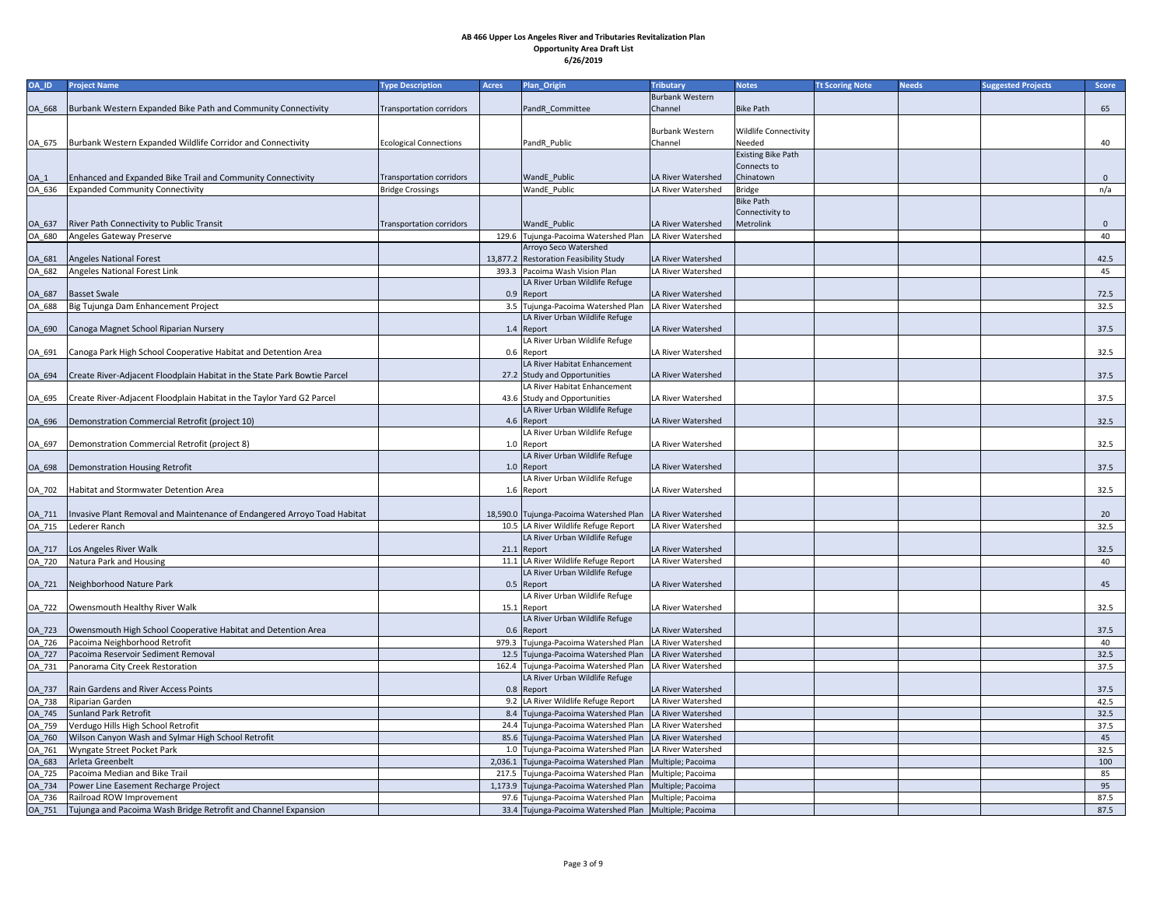| <b>OA_ID</b>  | <b>Project Name</b>                                                              | <b>Type Description</b>         | <b>Acres</b> | <b>Plan_Origin</b>                                           | <b>Tributary</b>       | <b>Notes</b>                 | <b>Tt Scoring Note</b> | <b>Needs</b> | <b>Suggested Projects</b> | <b>Score</b> |
|---------------|----------------------------------------------------------------------------------|---------------------------------|--------------|--------------------------------------------------------------|------------------------|------------------------------|------------------------|--------------|---------------------------|--------------|
|               |                                                                                  |                                 |              |                                                              | <b>Burbank Western</b> |                              |                        |              |                           |              |
|               | [OA_668   Burbank Western Expanded Bike Path and Community Connectivity          | Transportation corridors        |              | PandR Committee                                              | Channel                | <b>Bike Path</b>             |                        |              |                           | 65           |
|               |                                                                                  |                                 |              |                                                              |                        |                              |                        |              |                           |              |
|               |                                                                                  |                                 |              |                                                              | <b>Burbank Western</b> | <b>Wildlife Connectivity</b> |                        |              |                           |              |
|               | OA_675   Burbank Western Expanded Wildlife Corridor and Connectivity             | <b>Ecological Connections</b>   |              | PandR Public                                                 | Channel                | Needed                       |                        |              |                           | 40           |
|               |                                                                                  |                                 |              |                                                              |                        | <b>Existing Bike Path</b>    |                        |              |                           |              |
|               |                                                                                  |                                 |              |                                                              |                        | Connects to                  |                        |              |                           |              |
| $OA_1$        | Enhanced and Expanded Bike Trail and Community Connectivity                      | <b>Transportation corridors</b> |              | <b>WandE</b> Public                                          | LA River Watershed     | Chinatown                    |                        |              |                           | $\mathbf{0}$ |
| OA 636        | <b>Expanded Community Connectivity</b>                                           | <b>Bridge Crossings</b>         |              | WandE Public                                                 | LA River Watershed     | <b>Bridge</b>                |                        |              |                           | n/a          |
|               |                                                                                  |                                 |              |                                                              |                        | <b>Bike Path</b>             |                        |              |                           |              |
|               |                                                                                  |                                 |              |                                                              |                        | Connectivity to              |                        |              |                           |              |
| OA_637        | <b>River Path Connectivity to Public Transit</b>                                 | Transportation corridors        |              | <b>WandE</b> Public                                          | LA River Watershed     | Metrolink                    |                        |              |                           | $\mathbf{0}$ |
| OA_680        | Angeles Gateway Preserve                                                         |                                 |              | 129.6 Tujunga-Pacoima Watershed Plan                         | LA River Watershed     |                              |                        |              |                           | 40           |
|               |                                                                                  |                                 |              | Arroyo Seco Watershed                                        |                        |                              |                        |              |                           |              |
| <b>OA_681</b> | Angeles National Forest                                                          |                                 |              | 13,877.2 Restoration Feasibility Study                       | LA River Watershed     |                              |                        |              |                           | 42.5         |
| OA_682        | Angeles National Forest Link                                                     |                                 |              | 393.3 Pacoima Wash Vision Plan                               | LA River Watershed     |                              |                        |              |                           | 45           |
|               |                                                                                  |                                 |              | LA River Urban Wildlife Refuge                               |                        |                              |                        |              |                           |              |
| <b>OA_687</b> | <b>Basset Swale</b>                                                              |                                 |              | 0.9 Report                                                   | LA River Watershed     |                              |                        |              |                           | 72.5         |
| OA 688        | Big Tujunga Dam Enhancement Project                                              |                                 |              | 3.5 Tujunga-Pacoima Watershed Plan                           | LA River Watershed     |                              |                        |              |                           | 32.5         |
|               |                                                                                  |                                 |              | LA River Urban Wildlife Refuge                               |                        |                              |                        |              |                           |              |
| OA_690        | Canoga Magnet School Riparian Nursery                                            |                                 |              | 1.4 Report                                                   | LA River Watershed     |                              |                        |              |                           | 37.5         |
|               |                                                                                  |                                 |              | LA River Urban Wildlife Refuge                               |                        |                              |                        |              |                           |              |
|               | OA_691   Canoga Park High School Cooperative Habitat and Detention Area          |                                 |              | 0.6 Report                                                   | LA River Watershed     |                              |                        |              |                           | 32.5         |
|               |                                                                                  |                                 |              | LA River Habitat Enhancement                                 |                        |                              |                        |              |                           |              |
| OA_694        | Create River-Adjacent Floodplain Habitat in the State Park Bowtie Parcel         |                                 |              | 27.2 Study and Opportunities                                 | LA River Watershed     |                              |                        |              |                           | 37.5         |
|               |                                                                                  |                                 |              | LA River Habitat Enhancement                                 |                        |                              |                        |              |                           |              |
| OA_695        | Create River-Adjacent Floodplain Habitat in the Taylor Yard G2 Parcel            |                                 |              | 43.6 Study and Opportunities                                 | LA River Watershed     |                              |                        |              |                           | 37.5         |
|               |                                                                                  |                                 |              | LA River Urban Wildlife Refuge                               |                        |                              |                        |              |                           |              |
| OA_696        | Demonstration Commercial Retrofit (project 10)                                   |                                 |              | 4.6 Report                                                   | LA River Watershed     |                              |                        |              |                           | 32.5         |
|               |                                                                                  |                                 |              | LA River Urban Wildlife Refuge                               |                        |                              |                        |              |                           |              |
| OA_697        | Demonstration Commercial Retrofit (project 8)                                    |                                 |              | 1.0 Report                                                   | LA River Watershed     |                              |                        |              |                           | 32.5         |
|               |                                                                                  |                                 |              | LA River Urban Wildlife Refuge                               |                        |                              |                        |              |                           |              |
|               | OA_698  Demonstration Housing Retrofit                                           |                                 |              | 1.0 Report                                                   | LA River Watershed     |                              |                        |              |                           | 37.5         |
|               |                                                                                  |                                 |              | LA River Urban Wildlife Refuge                               |                        |                              |                        |              |                           |              |
|               | OA_702   Habitat and Stormwater Detention Area                                   |                                 |              | 1.6 Report                                                   | LA River Watershed     |                              |                        |              |                           | 32.5         |
|               |                                                                                  |                                 |              |                                                              |                        |                              |                        |              |                           |              |
|               | OA_711  Invasive Plant Removal and Maintenance of Endangered Arroyo Toad Habitat |                                 |              | 18,590.0 Tujunga-Pacoima Watershed Plan   LA River Watershed |                        |                              |                        |              |                           | 20           |
| OA_715        | Lederer Ranch                                                                    |                                 |              | 10.5 LA River Wildlife Refuge Report                         | LA River Watershed     |                              |                        |              |                           | 32.5         |
|               |                                                                                  |                                 |              | LA River Urban Wildlife Refuge                               |                        |                              |                        |              |                           |              |
|               | OA_717   Los Angeles River Walk                                                  |                                 |              | $21.1$ Report                                                | LA River Watershed     |                              |                        |              |                           | 32.5         |
| OA_720        | Natura Park and Housing                                                          |                                 |              | 11.1 LA River Wildlife Refuge Report                         | LA River Watershed     |                              |                        |              |                           | 40           |
|               |                                                                                  |                                 |              | LA River Urban Wildlife Refuge                               |                        |                              |                        |              |                           |              |
| OA_721        | Neighborhood Nature Park                                                         |                                 |              | 0.5 Report                                                   | LA River Watershed     |                              |                        |              |                           | 45           |
|               |                                                                                  |                                 |              | LA River Urban Wildlife Refuge                               |                        |                              |                        |              |                           |              |
|               | OA_722   Owensmouth Healthy River Walk                                           |                                 |              | 15.1 Report                                                  | LA River Watershed     |                              |                        |              |                           | 32.5         |
|               |                                                                                  |                                 |              | LA River Urban Wildlife Refuge                               |                        |                              |                        |              |                           |              |
| OA_723        | Owensmouth High School Cooperative Habitat and Detention Area                    |                                 |              | 0.6 Report                                                   | LA River Watershed     |                              |                        |              |                           | 37.5         |
| OA_726        | Pacoima Neighborhood Retrofit                                                    |                                 |              | 979.3 Tujunga-Pacoima Watershed Plan   LA River Watershed    |                        |                              |                        |              |                           | 40           |
| OA_727        | Pacoima Reservoir Sediment Removal                                               |                                 |              | 12.5 Tujunga-Pacoima Watershed Plan   LA River Watershed     |                        |                              |                        |              |                           | 32.5         |
| OA_731        | Panorama City Creek Restoration                                                  |                                 |              | 162.4 Tujunga-Pacoima Watershed Plan   LA River Watershed    |                        |                              |                        |              |                           | 37.5         |
|               |                                                                                  |                                 |              | LA River Urban Wildlife Refuge                               |                        |                              |                        |              |                           |              |
| OA_737        | Rain Gardens and River Access Points                                             |                                 |              | 0.8 Report                                                   | LA River Watershed     |                              |                        |              |                           | 37.5         |
| OA_738        | Riparian Garden                                                                  |                                 |              | 9.2 LA River Wildlife Refuge Report                          | LA River Watershed     |                              |                        |              |                           | 42.5         |
| OA_745        | Sunland Park Retrofit                                                            |                                 |              | 8.4 Tujunga-Pacoima Watershed Plan   LA River Watershed      |                        |                              |                        |              |                           | 32.5         |
| OA_759        | Verdugo Hills High School Retrofit                                               |                                 |              | 24.4 Tujunga-Pacoima Watershed Plan   LA River Watershed     |                        |                              |                        |              |                           | 37.5         |
| OA_760        | Wilson Canyon Wash and Sylmar High School Retrofit                               |                                 |              | 85.6 Tujunga-Pacoima Watershed Plan   LA River Watershed     |                        |                              |                        |              |                           | 45           |
| OA_761        | Wyngate Street Pocket Park                                                       |                                 |              | 1.0 Tujunga-Pacoima Watershed Plan LA River Watershed        |                        |                              |                        |              |                           | 32.5         |
|               | Arleta Greenbelt                                                                 |                                 |              | 2,036.1 Tujunga-Pacoima Watershed Plan Multiple; Pacoima     |                        |                              |                        |              |                           |              |
| OA_683        | Pacoima Median and Bike Trail                                                    |                                 |              | 217.5 Tujunga-Pacoima Watershed Plan Multiple; Pacoima       |                        |                              |                        |              |                           | 100          |
| OA_725        |                                                                                  |                                 |              |                                                              |                        |                              |                        |              |                           | 85           |
|               | OA_734   Power Line Easement Recharge Project                                    |                                 |              | 1,173.9 Tujunga-Pacoima Watershed Plan Multiple; Pacoima     |                        |                              |                        |              |                           | 95           |
| OA_736        | Railroad ROW Improvement                                                         |                                 |              | 97.6 Tujunga-Pacoima Watershed Plan Multiple; Pacoima        |                        |                              |                        |              |                           | 87.5         |
| OA_751        | Tujunga and Pacoima Wash Bridge Retrofit and Channel Expansion                   |                                 |              | 33.4 Tujunga-Pacoima Watershed Plan   Multiple; Pacoima      |                        |                              |                        |              |                           | 87.5         |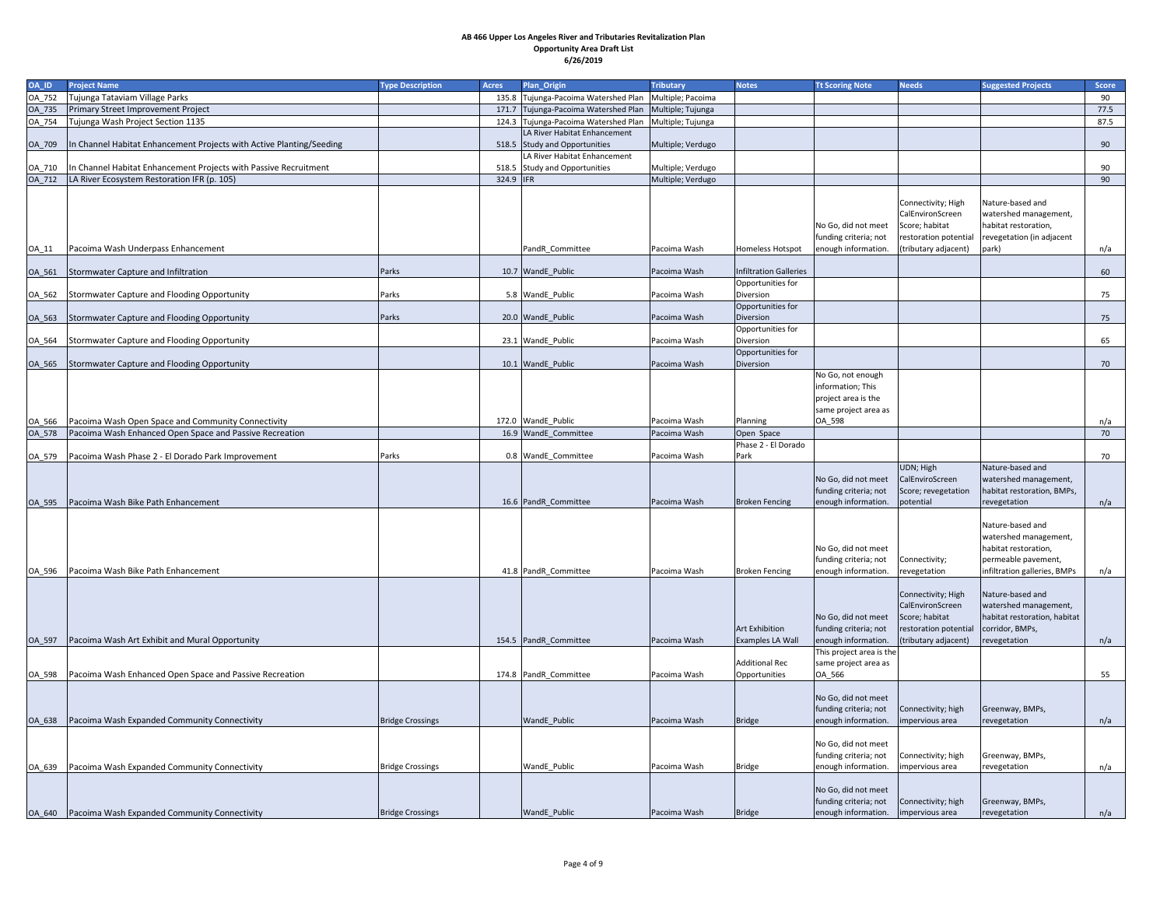| OA_ID  | <b>Project Name</b>                                                  | <b>Type Description</b> | <b>Acres</b> | <b>Plan_Origin</b>                   | <b>Tributary</b>  | <b>Notes</b>                   | <b>Tt Scoring Note</b>                           | <b>Needs</b>                          | <b>Suggested Projects</b>    | <b>Score</b> |
|--------|----------------------------------------------------------------------|-------------------------|--------------|--------------------------------------|-------------------|--------------------------------|--------------------------------------------------|---------------------------------------|------------------------------|--------------|
| OA_752 | Tujunga Tataviam Village Parks                                       |                         |              | 135.8 Tujunga-Pacoima Watershed Plan | Multiple; Pacoima |                                |                                                  |                                       |                              | 90           |
| OA_735 | <b>Primary Street Improvement Project</b>                            |                         |              | 171.7 Tujunga-Pacoima Watershed Plan | Multiple; Tujunga |                                |                                                  |                                       |                              | 77.5         |
| OA_754 | Tujunga Wash Project Section 1135                                    |                         |              | 124.3 Tujunga-Pacoima Watershed Plan | Multiple; Tujunga |                                |                                                  |                                       |                              | 87.5         |
|        |                                                                      |                         |              | LA River Habitat Enhancement         |                   |                                |                                                  |                                       |                              |              |
| OA_709 | In Channel Habitat Enhancement Projects with Active Planting/Seeding |                         |              | 518.5 Study and Opportunities        | Multiple; Verdugo |                                |                                                  |                                       |                              | 90           |
|        |                                                                      |                         |              | LA River Habitat Enhancement         |                   |                                |                                                  |                                       |                              |              |
| OA_710 | In Channel Habitat Enhancement Projects with Passive Recruitment     |                         |              | 518.5 Study and Opportunities        | Multiple; Verdugo |                                |                                                  |                                       |                              | 90           |
|        | OA_712   LA River Ecosystem Restoration IFR (p. 105)                 |                         | 324.9 IFR    |                                      | Multiple; Verdugo |                                |                                                  |                                       |                              | 90           |
|        |                                                                      |                         |              |                                      |                   |                                |                                                  | Connectivity; High                    | Nature-based and             |              |
|        |                                                                      |                         |              |                                      |                   |                                |                                                  | CalEnvironScreen                      | watershed management,        |              |
|        |                                                                      |                         |              |                                      |                   |                                | No Go, did not meet                              | Score; habitat                        | habitat restoration,         |              |
|        |                                                                      |                         |              |                                      |                   |                                | funding criteria; not                            | restoration potential                 | revegetation (in adjacent    |              |
| OA_11  | Pacoima Wash Underpass Enhancement                                   |                         |              | PandR Committee                      | Pacoima Wash      | <b>Homeless Hotspot</b>        | enough information.                              | (tributary adjacent)                  | park)                        | n/a          |
|        |                                                                      |                         |              |                                      |                   |                                |                                                  |                                       |                              |              |
| OA_561 | Stormwater Capture and Infiltration                                  | Parks                   |              | 10.7 WandE Public                    | Pacoima Wash      | Infiltration Galleries         |                                                  |                                       |                              | 60           |
|        |                                                                      |                         |              |                                      |                   | Opportunities for              |                                                  |                                       |                              |              |
| OA_562 | Stormwater Capture and Flooding Opportunity                          | Parks                   |              | 5.8 WandE Public                     | Pacoima Wash      | Diversion                      |                                                  |                                       |                              | 75           |
|        |                                                                      |                         |              |                                      |                   | Opportunities for              |                                                  |                                       |                              |              |
| OA_563 | Stormwater Capture and Flooding Opportunity                          | Parks                   |              | 20.0 WandE_Public                    | Pacoima Wash      | Diversion                      |                                                  |                                       |                              | 75           |
| OA_564 | Stormwater Capture and Flooding Opportunity                          |                         |              | 23.1 WandE_Public                    | Pacoima Wash      | Opportunities for<br>Diversion |                                                  |                                       |                              | 65           |
|        |                                                                      |                         |              |                                      |                   | Opportunities for              |                                                  |                                       |                              |              |
| OA_565 | Stormwater Capture and Flooding Opportunity                          |                         |              | 10.1 WandE_Public                    | Pacoima Wash      | <b>Diversion</b>               |                                                  |                                       |                              | 70           |
|        |                                                                      |                         |              |                                      |                   |                                | No Go, not enough                                |                                       |                              |              |
|        |                                                                      |                         |              |                                      |                   |                                | information; This                                |                                       |                              |              |
|        |                                                                      |                         |              |                                      |                   |                                | project area is the                              |                                       |                              |              |
|        |                                                                      |                         |              |                                      |                   |                                | same project area as                             |                                       |                              |              |
|        | OA_566   Pacoima Wash Open Space and Community Connectivity          |                         |              | 172.0   WandE_Public                 | Pacoima Wash      | Planning                       | OA_598                                           |                                       |                              | n/a          |
|        | OA_578   Pacoima Wash Enhanced Open Space and Passive Recreation     |                         |              | 16.9 WandE_Committee                 | Pacoima Wash      | Open Space                     |                                                  |                                       |                              | 70           |
|        |                                                                      |                         |              |                                      |                   | Phase 2 - El Dorado            |                                                  |                                       |                              |              |
| OA_579 | Pacoima Wash Phase 2 - El Dorado Park Improvement                    | Parks                   |              | 0.8 WandE Committee                  | Pacoima Wash      | Park                           |                                                  |                                       |                              | 70           |
|        |                                                                      |                         |              |                                      |                   |                                |                                                  | UDN; High                             | Nature-based and             |              |
|        |                                                                      |                         |              |                                      |                   |                                | No Go, did not meet                              | CalEnviroScreen                       | watershed management,        |              |
|        | Pacoima Wash Bike Path Enhancement                                   |                         |              | 16.6 PandR Committee                 |                   |                                | funding criteria; not                            | Score; revegetation                   | habitat restoration, BMPs,   |              |
| OA_595 |                                                                      |                         |              |                                      | Pacoima Wash      | <b>Broken Fencing</b>          | enough information.                              | potential                             | revegetation                 | n/a          |
|        |                                                                      |                         |              |                                      |                   |                                |                                                  |                                       | Nature-based and             |              |
|        |                                                                      |                         |              |                                      |                   |                                |                                                  |                                       | watershed management,        |              |
|        |                                                                      |                         |              |                                      |                   |                                | No Go, did not meet                              |                                       | habitat restoration,         |              |
|        |                                                                      |                         |              |                                      |                   |                                | funding criteria; not                            | Connectivity;                         | permeable pavement,          |              |
| OA_596 | Pacoima Wash Bike Path Enhancement                                   |                         |              | 41.8 PandR Committee                 | Pacoima Wash      | <b>Broken Fencing</b>          | enough information.                              | revegetation                          | infiltration galleries, BMPs | n/a          |
|        |                                                                      |                         |              |                                      |                   |                                |                                                  |                                       |                              |              |
|        |                                                                      |                         |              |                                      |                   |                                |                                                  | Connectivity; High                    | Nature-based and             |              |
|        |                                                                      |                         |              |                                      |                   |                                |                                                  | CalEnvironScreen                      | watershed management,        |              |
|        |                                                                      |                         |              |                                      |                   |                                | No Go, did not meet                              | Score; habitat                        | habitat restoration, habitat |              |
|        |                                                                      |                         |              |                                      |                   | Art Exhibition                 | funding criteria; not                            | restoration potential                 | corridor, BMPs,              |              |
| OA_597 | Pacoima Wash Art Exhibit and Mural Opportunity                       |                         |              | 154.5 PandR Committee                | Pacoima Wash      | <b>Examples LA Wall</b>        | enough information.                              | (tributary adjacent)                  | revegetation                 | n/a          |
|        |                                                                      |                         |              |                                      |                   | <b>Additional Rec</b>          | This project area is the<br>same project area as |                                       |                              |              |
|        |                                                                      |                         |              | 174.8 PandR Committee                | Pacoima Wash      | Opportunities                  | OA_566                                           |                                       |                              | 55           |
|        |                                                                      |                         |              |                                      |                   |                                |                                                  |                                       |                              |              |
|        |                                                                      |                         |              |                                      |                   |                                | No Go, did not meet                              |                                       |                              |              |
|        |                                                                      |                         |              |                                      |                   |                                | funding criteria; not                            | Connectivity; high                    | Greenway, BMPs,              |              |
|        | OA_638   Pacoima Wash Expanded Community Connectivity                | <b>Bridge Crossings</b> |              | <b>WandE</b> Public                  | Pacoima Wash      | Bridge                         | enough information.                              | Impervious area                       | revegetation                 | n/a          |
|        |                                                                      |                         |              |                                      |                   |                                |                                                  |                                       |                              |              |
|        |                                                                      |                         |              |                                      |                   |                                | No Go, did not meet                              |                                       |                              |              |
|        |                                                                      |                         |              |                                      |                   |                                | funding criteria; not                            | Connectivity; high                    | Greenway, BMPs,              |              |
|        |                                                                      | <b>Bridge Crossings</b> |              | WandE_Public                         | Pacoima Wash      | Bridge                         | enough information.                              | impervious area                       | revegetation                 | n/a          |
|        |                                                                      |                         |              |                                      |                   |                                |                                                  |                                       |                              |              |
|        |                                                                      |                         |              |                                      |                   |                                | No Go, did not meet                              |                                       |                              |              |
|        | Pacoima Wash Expanded Community Connectivity                         | <b>Bridge Crossings</b> |              | WandE_Public                         |                   |                                | funding criteria; not<br>enough information.     | Connectivity; high<br>Impervious area | Greenway, BMPs,              |              |
| OA_640 |                                                                      |                         |              |                                      | Pacoima Wash      | Bridge                         |                                                  |                                       | revegetation                 | n/a          |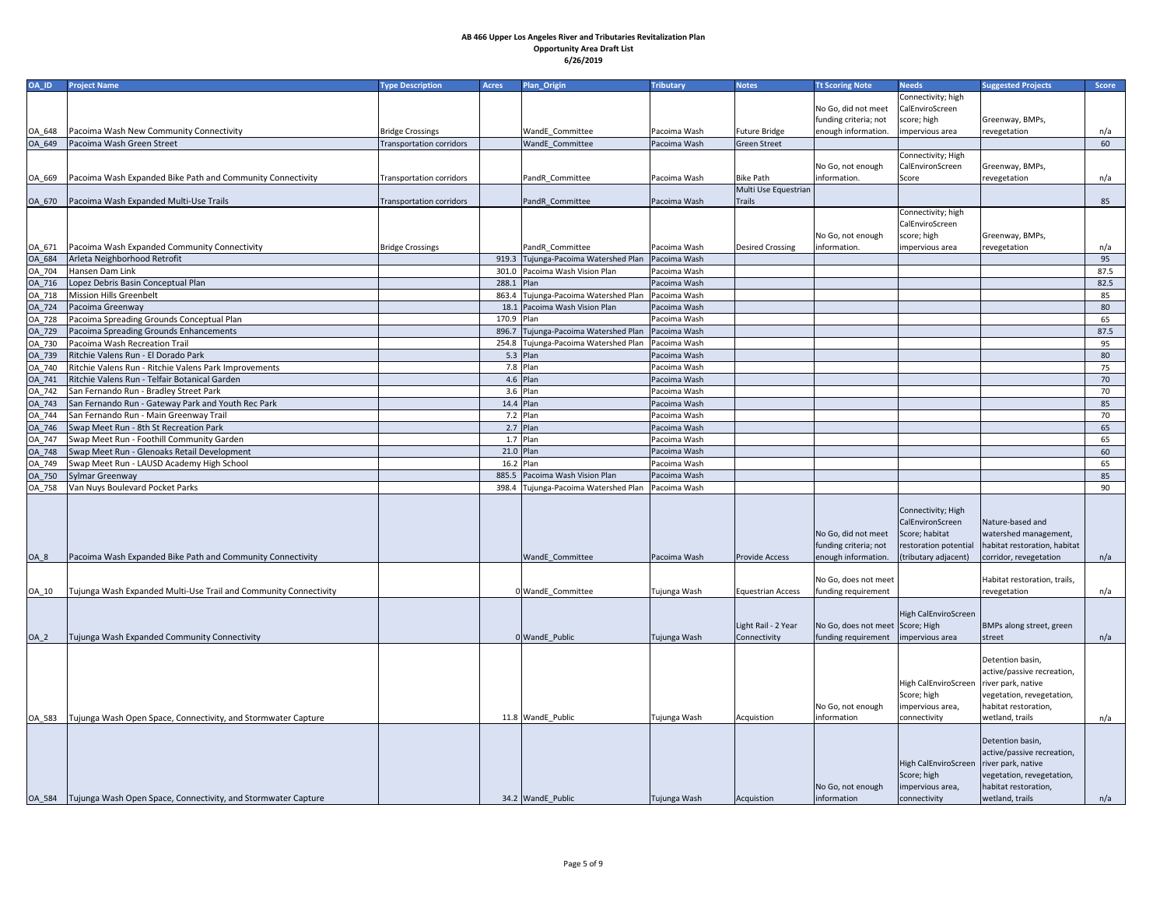| OA_ID   | <b>Project Name</b>                                                    | <b>Type Description</b>         | <b>Acres</b> | Plan_Origin                          | <b>Tributary</b> | <b>Notes</b>             | <b>Tt Scoring Note</b>           | <b>Needs</b>                           | <b>Suggested Projects</b>    | <b>Score</b> |
|---------|------------------------------------------------------------------------|---------------------------------|--------------|--------------------------------------|------------------|--------------------------|----------------------------------|----------------------------------------|------------------------------|--------------|
|         |                                                                        |                                 |              |                                      |                  |                          |                                  | Connectivity; high                     |                              |              |
|         |                                                                        |                                 |              |                                      |                  |                          | No Go, did not meet              | CalEnviroScreen                        |                              |              |
|         |                                                                        |                                 |              |                                      |                  |                          | funding criteria; not            | score; high                            | Greenway, BMPs,              |              |
| OA_648  | Pacoima Wash New Community Connectivity                                | <b>Bridge Crossings</b>         |              | <b>WandE</b> Committee               | Pacoima Wash     | <b>Future Bridge</b>     | enough information.              | impervious area                        | revegetation                 | n/a          |
| OA_649  | Pacoima Wash Green Street                                              | <b>Transportation corridors</b> |              | WandE_Committee                      | Pacoima Wash     | <b>Green Street</b>      |                                  |                                        |                              | 60           |
|         |                                                                        |                                 |              |                                      |                  |                          |                                  | Connectivity; High                     |                              |              |
|         |                                                                        |                                 |              |                                      |                  |                          | No Go, not enough                | CalEnvironScreen                       | Greenway, BMPs,              |              |
| OA_669  | Pacoima Wash Expanded Bike Path and Community Connectivity             | <b>Transportation corridors</b> |              | PandR_Committee                      | Pacoima Wash     | <b>Bike Path</b>         | information.                     | Score                                  | revegetation                 | n/a          |
|         |                                                                        |                                 |              |                                      |                  | Multi Use Equestrian     |                                  |                                        |                              |              |
| OA_670  | Pacoima Wash Expanded Multi-Use Trails                                 | <b>Transportation corridors</b> |              | PandR_Committee                      | Pacoima Wash     | <b>Trails</b>            |                                  |                                        |                              | 85           |
|         |                                                                        |                                 |              |                                      |                  |                          |                                  | Connectivity; high                     |                              |              |
|         |                                                                        |                                 |              |                                      |                  |                          |                                  | CalEnviroScreen                        |                              |              |
|         |                                                                        |                                 |              |                                      |                  |                          | No Go, not enough                | score; high                            | Greenway, BMPs,              |              |
| OA_671  | Pacoima Wash Expanded Community Connectivity                           | <b>Bridge Crossings</b>         |              | PandR Committee                      | Pacoima Wash     | <b>Desired Crossing</b>  | information.                     | impervious area                        | revegetation                 | n/a          |
| OA_684  | Arleta Neighborhood Retrofit                                           |                                 |              | 919.3 Tujunga-Pacoima Watershed Plan | Pacoima Wash     |                          |                                  |                                        |                              | 95           |
| OA_704  | Hansen Dam Link                                                        |                                 |              | 301.0 Pacoima Wash Vision Plan       | Pacoima Wash     |                          |                                  |                                        |                              | 87.5         |
| OA_716  | Lopez Debris Basin Conceptual Plan                                     |                                 | 288.1        | Plan                                 | Pacoima Wash     |                          |                                  |                                        |                              | 82.5         |
| OA_718  | Mission Hills Greenbelt                                                |                                 | 863.4        | Tujunga-Pacoima Watershed Plan       | Pacoima Wash     |                          |                                  |                                        |                              | 85           |
| OA_724  | Pacoima Greenway                                                       |                                 |              | 18.1 Pacoima Wash Vision Plan        | Pacoima Wash     |                          |                                  |                                        |                              | 80           |
| OA_728  | Pacoima Spreading Grounds Conceptual Plan                              |                                 | 170.9 Plan   |                                      | Pacoima Wash     |                          |                                  |                                        |                              | 65           |
| OA_729  | Pacoima Spreading Grounds Enhancements                                 |                                 | 896.7        | Tujunga-Pacoima Watershed Plan       | Pacoima Wash     |                          |                                  |                                        |                              | 87.5         |
| OA_730  | Pacoima Wash Recreation Trail                                          |                                 |              | 254.8 Tujunga-Pacoima Watershed Plan | Pacoima Wash     |                          |                                  |                                        |                              | 95           |
| OA_739  | Ritchie Valens Run - El Dorado Park                                    |                                 |              | 5.3 Plan                             | Pacoima Wash     |                          |                                  |                                        |                              | 80           |
| OA_740  | Ritchie Valens Run - Ritchie Valens Park Improvements                  |                                 |              | 7.8 Plan                             | Pacoima Wash     |                          |                                  |                                        |                              | 75           |
| OA_741  | Ritchie Valens Run - Telfair Botanical Garden                          |                                 |              | 4.6 Plan                             | Pacoima Wash     |                          |                                  |                                        |                              | 70           |
| OA_742  | San Fernando Run - Bradley Street Park                                 |                                 |              | $3.6$ Plan                           | Pacoima Wash     |                          |                                  |                                        |                              | 70           |
| OA_743  | San Fernando Run - Gateway Park and Youth Rec Park                     |                                 |              | 14.4 Plan                            | Pacoima Wash     |                          |                                  |                                        |                              | 85           |
| OA_744  | San Fernando Run - Main Greenway Trail                                 |                                 |              | 7.2 $Plan$                           | Pacoima Wash     |                          |                                  |                                        |                              | 70           |
|         | OA_746 Swap Meet Run - 8th St Recreation Park                          |                                 |              | 2.7 $Plan$                           | Pacoima Wash     |                          |                                  |                                        |                              | 65           |
| OA_747  | Swap Meet Run - Foothill Community Garden                              |                                 |              | $1.7$ Plan                           | Pacoima Wash     |                          |                                  |                                        |                              | 65           |
| OA_748  | Swap Meet Run - Glenoaks Retail Development                            |                                 |              | 21.0 Plan                            | Pacoima Wash     |                          |                                  |                                        |                              | 60           |
| OA_749  | Swap Meet Run - LAUSD Academy High School                              |                                 |              | 16.2 Plan                            | Pacoima Wash     |                          |                                  |                                        |                              | 65           |
| OA_750  | Sylmar Greenway                                                        |                                 | 885.5        | Pacoima Wash Vision Plan             | Pacoima Wash     |                          |                                  |                                        |                              | 85           |
| OA_758  | Van Nuys Boulevard Pocket Parks                                        |                                 |              | 398.4 Tujunga-Pacoima Watershed Plan | Pacoima Wash     |                          |                                  |                                        |                              | 90           |
|         |                                                                        |                                 |              |                                      |                  |                          |                                  |                                        |                              |              |
|         |                                                                        |                                 |              |                                      |                  |                          |                                  | Connectivity; High<br>CalEnvironScreen | Nature-based and             |              |
|         |                                                                        |                                 |              |                                      |                  |                          | No Go, did not meet              | Score; habitat                         | watershed management,        |              |
|         |                                                                        |                                 |              |                                      |                  |                          | funding criteria; not            | restoration potential                  | habitat restoration, habitat |              |
| $OA_8$  | Pacoima Wash Expanded Bike Path and Community Connectivity             |                                 |              | <b>WandE</b> Committee               | Pacoima Wash     | <b>Provide Access</b>    | enough information.              | (tributary adjacent)                   | corridor, revegetation       | n/a          |
|         |                                                                        |                                 |              |                                      |                  |                          |                                  |                                        |                              |              |
|         |                                                                        |                                 |              |                                      |                  |                          | No Go, does not meet             |                                        | Habitat restoration, trails, |              |
| $OA_10$ | Tujunga Wash Expanded Multi-Use Trail and Community Connectivity       |                                 |              | 0 WandE Committee                    | Tujunga Wash     | <b>Equestrian Access</b> | funding requirement              |                                        | revegetation                 | n/a          |
|         |                                                                        |                                 |              |                                      |                  |                          |                                  |                                        |                              |              |
|         |                                                                        |                                 |              |                                      |                  |                          |                                  | High CalEnviroScreen                   |                              |              |
|         |                                                                        |                                 |              |                                      |                  | Light Rail - 2 Year      | No Go, does not meet Score; High |                                        | BMPs along street, green     |              |
| $OA_2$  | Tujunga Wash Expanded Community Connectivity                           |                                 |              | 0 WandE Public                       | Tujunga Wash     | Connectivity             | funding requirement              | impervious area                        | street                       | n/a          |
|         |                                                                        |                                 |              |                                      |                  |                          |                                  |                                        |                              |              |
|         |                                                                        |                                 |              |                                      |                  |                          |                                  |                                        | Detention basin,             |              |
|         |                                                                        |                                 |              |                                      |                  |                          |                                  |                                        | active/passive recreation,   |              |
|         |                                                                        |                                 |              |                                      |                  |                          |                                  | High CalEnviroScreen                   | river park, native           |              |
|         |                                                                        |                                 |              |                                      |                  |                          |                                  | Score; high                            | vegetation, revegetation,    |              |
|         |                                                                        |                                 |              |                                      |                  |                          | No Go, not enough                | impervious area,                       | habitat restoration,         |              |
| OA_583  | Tujunga Wash Open Space, Connectivity, and Stormwater Capture          |                                 |              | 11.8 WandE_Public                    | Tujunga Wash     | Acquistion               | information                      | connectivity                           | wetland, trails              | n/a          |
|         |                                                                        |                                 |              |                                      |                  |                          |                                  |                                        | Detention basin,             |              |
|         |                                                                        |                                 |              |                                      |                  |                          |                                  |                                        | active/passive recreation,   |              |
|         |                                                                        |                                 |              |                                      |                  |                          |                                  | High CalEnviroScreen                   | river park, native           |              |
|         |                                                                        |                                 |              |                                      |                  |                          |                                  | Score; high                            | vegetation, revegetation,    |              |
|         |                                                                        |                                 |              |                                      |                  |                          | No Go, not enough                | impervious area,                       | habitat restoration,         |              |
|         | OA_584   Tujunga Wash Open Space, Connectivity, and Stormwater Capture |                                 |              | 34.2 WandE_Public                    | Tujunga Wash     | Acquistion               | information                      | connectivity                           | wetland, trails              | n/a          |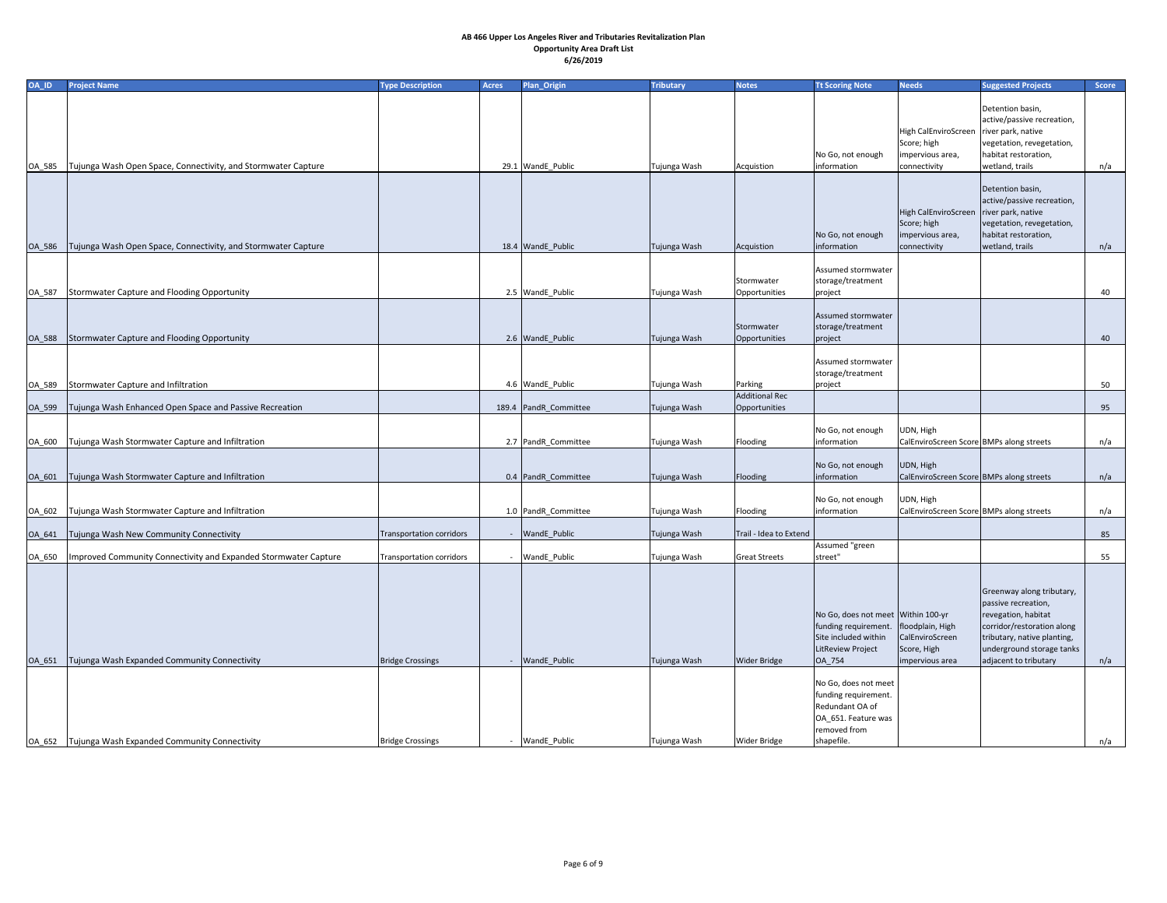| OA_ID  | <b>Project Name</b>                                                    | <b>Type Description</b>  | <b>Acres</b> | <b>Plan_Origin</b>    | <b>Tributary</b> | <b>Notes</b>                           | <b>Tt Scoring Note</b>                                                                                                                    | <b>Needs</b>                                                                                 | <b>Suggested Projects</b>                                                                                                                                                                  | Score |
|--------|------------------------------------------------------------------------|--------------------------|--------------|-----------------------|------------------|----------------------------------------|-------------------------------------------------------------------------------------------------------------------------------------------|----------------------------------------------------------------------------------------------|--------------------------------------------------------------------------------------------------------------------------------------------------------------------------------------------|-------|
| OA_585 | Tujunga Wash Open Space, Connectivity, and Stormwater Capture          |                          |              | 29.1 WandE Public     | Tujunga Wash     | Acquistion                             | No Go, not enough<br>information                                                                                                          | High CalEnviroScreen   river park, native<br>Score; high<br>impervious area,<br>connectivity | Detention basin,<br>active/passive recreation,<br>vegetation, revegetation,<br>habitat restoration,<br>wetland, trails                                                                     | n/a   |
|        | OA_586   Tujunga Wash Open Space, Connectivity, and Stormwater Capture |                          |              | 18.4 WandE_Public     | Tujunga Wash     | Acquistion                             | No Go, not enough<br>information                                                                                                          | High CalEnviroScreen   river park, native<br>Score; high<br>impervious area,<br>connectivity | Detention basin,<br>active/passive recreation,<br>vegetation, revegetation,<br>habitat restoration,<br>wetland, trails                                                                     | n/a   |
| OA_587 | Stormwater Capture and Flooding Opportunity                            |                          |              | 2.5 WandE_Public      | Tujunga Wash     | Stormwater<br>Opportunities            | Assumed stormwater<br>storage/treatment<br>project                                                                                        |                                                                                              |                                                                                                                                                                                            | 40    |
|        | OA_588 Stormwater Capture and Flooding Opportunity                     |                          |              | 2.6 WandE_Public      | Tujunga Wash     | Stormwater<br>Opportunities            | Assumed stormwater<br>storage/treatment<br>project                                                                                        |                                                                                              |                                                                                                                                                                                            | 40    |
| OA_589 | Stormwater Capture and Infiltration                                    |                          |              | 4.6 WandE_Public      | Tujunga Wash     | Parking                                | Assumed stormwater<br>storage/treatment<br>project                                                                                        |                                                                                              |                                                                                                                                                                                            | 50    |
| OA_599 | Tujunga Wash Enhanced Open Space and Passive Recreation                |                          |              | 189.4 PandR_Committee | Tujunga Wash     | <b>Additional Rec</b><br>Opportunities |                                                                                                                                           |                                                                                              |                                                                                                                                                                                            | 95    |
| OA_600 | Tujunga Wash Stormwater Capture and Infiltration                       |                          |              | 2.7 PandR Committee   | Tujunga Wash     | Flooding                               | No Go, not enough<br>information                                                                                                          | UDN, High<br>CalEnviroScreen Score BMPs along streets                                        |                                                                                                                                                                                            | n/a   |
| OA_601 | Tujunga Wash Stormwater Capture and Infiltration                       |                          |              | 0.4 PandR Committee   | Tujunga Wash     | Flooding                               | No Go, not enough<br>information                                                                                                          | UDN, High<br>CalEnviroScreen Score BMPs along streets                                        |                                                                                                                                                                                            | n/a   |
| OA_602 | Tujunga Wash Stormwater Capture and Infiltration                       |                          |              | 1.0 PandR_Committee   | Tujunga Wash     | Flooding                               | No Go, not enough<br>information                                                                                                          | UDN, High<br>CalEnviroScreen Score BMPs along streets                                        |                                                                                                                                                                                            | n/a   |
| OA_641 | Tujunga Wash New Community Connectivity                                | Transportation corridors |              | - WandE_Public        | Tujunga Wash     | Trail - Idea to Extend                 |                                                                                                                                           |                                                                                              |                                                                                                                                                                                            | 85    |
| OA_650 | Improved Community Connectivity and Expanded Stormwater Capture        | Transportation corridors |              | WandE_Public          | Tujunga Wash     | <b>Great Streets</b>                   | Assumed "green<br>street"                                                                                                                 |                                                                                              |                                                                                                                                                                                            | 55    |
| OA_651 | Tujunga Wash Expanded Community Connectivity                           | <b>Bridge Crossings</b>  |              | <b>WandE</b> Public   | Tujunga Wash     | <b>Wider Bridge</b>                    | No Go, does not meet Within 100-yr<br>funding requirement.<br>Site included within<br>LitReview Project<br>OA_754<br>No Go, does not meet | floodplain, High<br>CalEnviroScreen<br>Score, High<br>impervious area                        | Greenway along tributary,<br>passive recreation,<br>revegation, habitat<br>corridor/restoration along<br>tributary, native planting,<br>underground storage tanks<br>adjacent to tributary | n/a   |
|        | OA_652   Tujunga Wash Expanded Community Connectivity                  | <b>Bridge Crossings</b>  | $\sim$       | WandE_Public          | Tujunga Wash     | <b>Wider Bridge</b>                    | funding requirement.<br>Redundant OA of<br>OA_651. Feature was<br>removed from<br>shapefile.                                              |                                                                                              |                                                                                                                                                                                            | n/a   |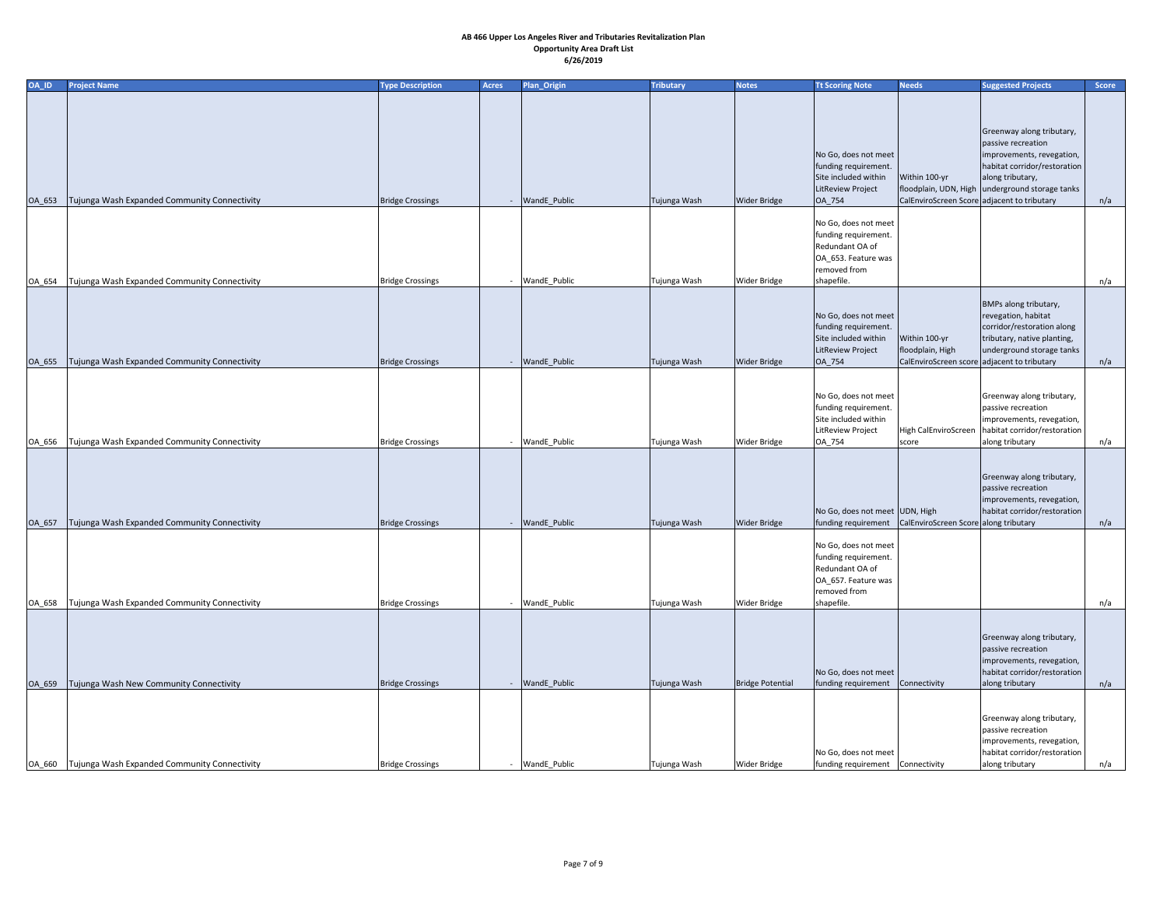| OA_ID         | <b>Project Name</b>                                   | <b>Type Description</b> | <b>Acres</b> | <b>Plan_Origin</b>  | <b>Tributary</b> | <b>Notes</b>        | <b>Tt Scoring Note</b>                                                                                               | <b>Needs</b>                                                                     | <b>Suggested Projects</b>                                                                                                              | Score |
|---------------|-------------------------------------------------------|-------------------------|--------------|---------------------|------------------|---------------------|----------------------------------------------------------------------------------------------------------------------|----------------------------------------------------------------------------------|----------------------------------------------------------------------------------------------------------------------------------------|-------|
|               |                                                       |                         |              |                     |                  |                     |                                                                                                                      |                                                                                  |                                                                                                                                        |       |
|               |                                                       |                         |              |                     |                  |                     | No Go, does not meet<br>funding requirement.<br>Site included within                                                 | Within 100-yr                                                                    | Greenway along tributary,<br>passive recreation<br>improvements, revegation,<br>habitat corridor/restoration<br>along tributary,       |       |
|               |                                                       |                         |              |                     |                  |                     | LitReview Project                                                                                                    |                                                                                  | floodplain, UDN, High underground storage tanks                                                                                        |       |
| <b>OA_653</b> | Tujunga Wash Expanded Community Connectivity          | <b>Bridge Crossings</b> | $\sim$       | <b>WandE</b> Public | Tujunga Wash     | <b>Wider Bridge</b> | OA_754                                                                                                               | CalEnviroScreen Score adjacent to tributary                                      |                                                                                                                                        | n/a   |
| OA_654        | Tujunga Wash Expanded Community Connectivity          | <b>Bridge Crossings</b> | $\sim$       | WandE_Public        | Tujunga Wash     | <b>Wider Bridge</b> | No Go, does not meet<br>funding requirement.<br>Redundant OA of<br>OA_653. Feature was<br>removed from<br>shapefile. |                                                                                  |                                                                                                                                        | n/a   |
|               |                                                       |                         |              |                     |                  |                     |                                                                                                                      |                                                                                  |                                                                                                                                        |       |
| <b>OA_655</b> | Tujunga Wash Expanded Community Connectivity          | <b>Bridge Crossings</b> |              | WandE_Public        | Tujunga Wash     | <b>Wider Bridge</b> | No Go, does not meet<br>funding requirement.<br>Site included within<br>LitReview Project<br>OA_754                  | Within 100-yr<br>floodplain, High<br>CalEnviroScreen score adjacent to tributary | BMPs along tributary,<br>revegation, habitat<br>corridor/restoration along<br>tributary, native planting,<br>underground storage tanks | n/a   |
|               |                                                       |                         |              |                     |                  |                     |                                                                                                                      |                                                                                  |                                                                                                                                        |       |
|               |                                                       |                         |              | WandE_Public        | Tujunga Wash     | <b>Wider Bridge</b> | No Go, does not meet<br>funding requirement.<br>Site included within<br>LitReview Project                            |                                                                                  | Greenway along tributary,<br>passive recreation<br>improvements, revegation,<br>High CalEnviroScreen   habitat corridor/restoration    |       |
|               | OA_656   Tujunga Wash Expanded Community Connectivity | <b>Bridge Crossings</b> |              |                     |                  |                     | OA_754                                                                                                               | score                                                                            | along tributary                                                                                                                        | n/a   |
| OA_657        | Tujunga Wash Expanded Community Connectivity          | <b>Bridge Crossings</b> |              | <b>WandE</b> Public | Tujunga Wash     | <b>Wider Bridge</b> | No Go, does not meet UDN, High<br>funding requirement   CalEnviroScreen Score along tributary                        |                                                                                  | Greenway along tributary,<br>passive recreation<br>improvements, revegation,<br>habitat corridor/restoration                           | n/a   |
|               |                                                       |                         |              |                     |                  |                     | No Go, does not meet<br>funding requirement.<br>Redundant OA of<br>OA_657. Feature was<br>removed from               |                                                                                  |                                                                                                                                        |       |
| OA_658        | Tujunga Wash Expanded Community Connectivity          | <b>Bridge Crossings</b> |              | WandE_Public        | Tujunga Wash     | <b>Wider Bridge</b> | shapefile.                                                                                                           |                                                                                  |                                                                                                                                        | n/a   |
| <b>OA_659</b> | Tujunga Wash New Community Connectivity               | <b>Bridge Crossings</b> |              | - WandE_Public      | Tujunga Wash     | Bridge Potential    | No Go, does not meet<br>funding requirement                                                                          | Connectivity                                                                     | Greenway along tributary,<br>passive recreation<br>improvements, revegation,<br>habitat corridor/restoration<br>along tributary        | n/a   |
|               | OA_660   Tujunga Wash Expanded Community Connectivity | <b>Bridge Crossings</b> |              | WandE_Public        | Tujunga Wash     | <b>Wider Bridge</b> | No Go, does not meet<br>funding requirement Connectivity                                                             |                                                                                  | Greenway along tributary,<br>passive recreation<br>improvements, revegation,<br>habitat corridor/restoration<br>along tributary        | n/a   |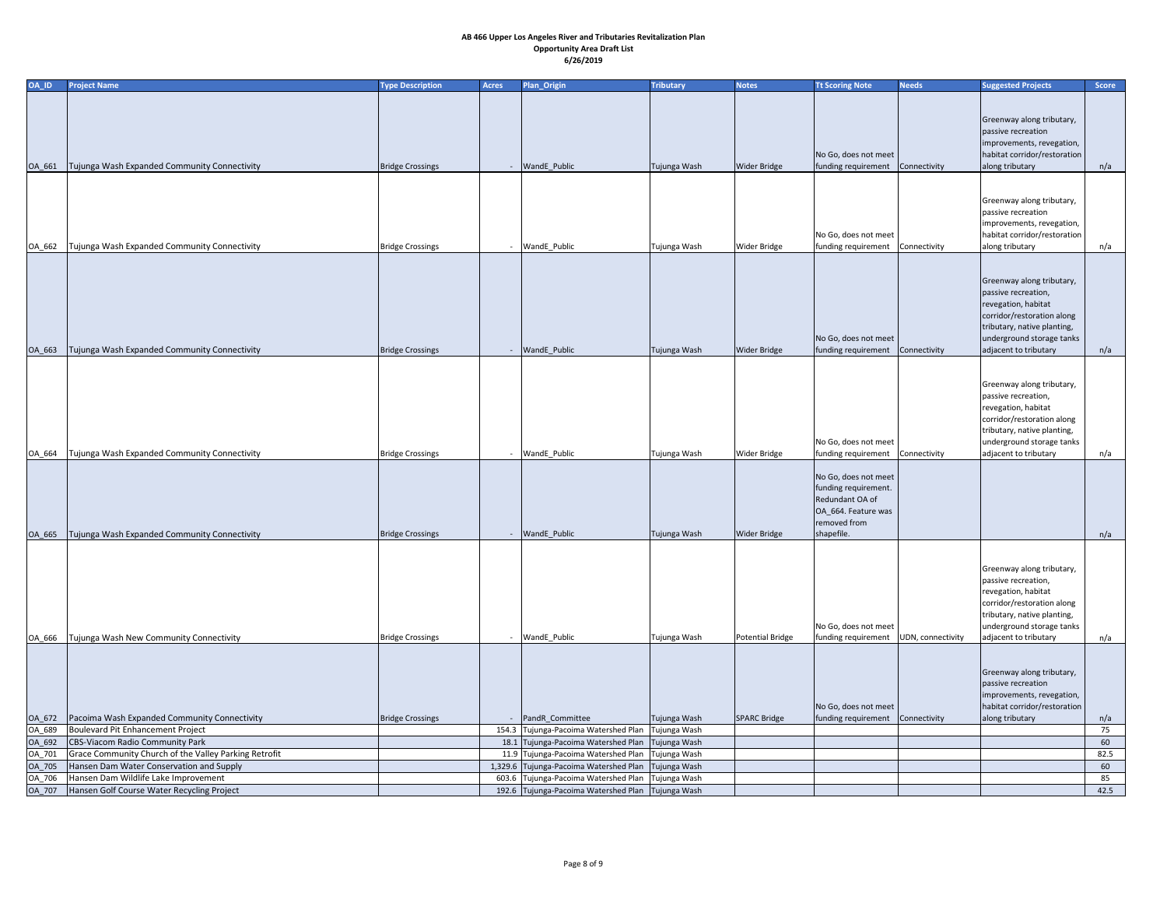| <b>Suggested Projects</b><br>Greenway along tributary,<br>passive recreation<br>improvements, revegation,<br>habitat corridor/restoration<br>No Go, does not meet<br>Tujunga Wash Expanded Community Connectivity<br><b>Bridge Crossings</b><br>- WandE_Public<br>Tujunga Wash<br><b>Wider Bridge</b><br>funding requirement<br>Connectivity<br>along tributary<br>OA_661 | n/a        |
|---------------------------------------------------------------------------------------------------------------------------------------------------------------------------------------------------------------------------------------------------------------------------------------------------------------------------------------------------------------------------|------------|
|                                                                                                                                                                                                                                                                                                                                                                           |            |
|                                                                                                                                                                                                                                                                                                                                                                           |            |
|                                                                                                                                                                                                                                                                                                                                                                           |            |
|                                                                                                                                                                                                                                                                                                                                                                           |            |
|                                                                                                                                                                                                                                                                                                                                                                           |            |
|                                                                                                                                                                                                                                                                                                                                                                           |            |
|                                                                                                                                                                                                                                                                                                                                                                           |            |
|                                                                                                                                                                                                                                                                                                                                                                           |            |
| Greenway along tributary,                                                                                                                                                                                                                                                                                                                                                 |            |
| passive recreation                                                                                                                                                                                                                                                                                                                                                        |            |
| improvements, revegation,                                                                                                                                                                                                                                                                                                                                                 |            |
| habitat corridor/restoration<br>No Go, does not meet<br>Tujunga Wash Expanded Community Connectivity<br>- WandE_Public<br><b>Bridge Crossings</b><br>Tujunga Wash<br><b>Wider Bridge</b><br>funding requirement<br>Connectivity<br>along tributary<br>OA_662                                                                                                              | n/a        |
|                                                                                                                                                                                                                                                                                                                                                                           |            |
|                                                                                                                                                                                                                                                                                                                                                                           |            |
| Greenway along tributary,                                                                                                                                                                                                                                                                                                                                                 |            |
| passive recreation,                                                                                                                                                                                                                                                                                                                                                       |            |
| revegation, habitat                                                                                                                                                                                                                                                                                                                                                       |            |
| corridor/restoration along                                                                                                                                                                                                                                                                                                                                                |            |
| tributary, native planting,                                                                                                                                                                                                                                                                                                                                               |            |
| underground storage tanks<br>No Go, does not meet<br>Tujunga Wash Expanded Community Connectivity<br><b>Bridge Crossings</b><br>- WandE_Public<br>Tujunga Wash<br><b>Wider Bridge</b><br>funding requirement<br>Connectivity<br>OA_663<br>adjacent to tributary                                                                                                           | n/a        |
|                                                                                                                                                                                                                                                                                                                                                                           |            |
|                                                                                                                                                                                                                                                                                                                                                                           |            |
| Greenway along tributary,                                                                                                                                                                                                                                                                                                                                                 |            |
| passive recreation,                                                                                                                                                                                                                                                                                                                                                       |            |
| revegation, habitat                                                                                                                                                                                                                                                                                                                                                       |            |
| corridor/restoration along                                                                                                                                                                                                                                                                                                                                                |            |
| tributary, native planting,                                                                                                                                                                                                                                                                                                                                               |            |
| No Go, does not meet<br>underground storage tanks<br>Tujunga Wash Expanded Community Connectivity<br>WandE_Public<br><b>Wider Bridge</b><br><b>Bridge Crossings</b><br>Tujunga Wash<br>Connectivity<br>adjacent to tributary<br>OA_664<br>funding requirement<br>$\sim$                                                                                                   | n/a        |
|                                                                                                                                                                                                                                                                                                                                                                           |            |
| No Go, does not meet                                                                                                                                                                                                                                                                                                                                                      |            |
| funding requirement.                                                                                                                                                                                                                                                                                                                                                      |            |
| Redundant OA of                                                                                                                                                                                                                                                                                                                                                           |            |
| OA_664. Feature was                                                                                                                                                                                                                                                                                                                                                       |            |
| removed from                                                                                                                                                                                                                                                                                                                                                              |            |
| Tujunga Wash Expanded Community Connectivity<br>shapefile.<br><b>Bridge Crossings</b><br>WandE_Public<br>Tujunga Wash<br><b>Wider Bridge</b><br>OA_665<br>$\sim$                                                                                                                                                                                                          | n/a        |
|                                                                                                                                                                                                                                                                                                                                                                           |            |
| Greenway along tributary,                                                                                                                                                                                                                                                                                                                                                 |            |
| passive recreation,                                                                                                                                                                                                                                                                                                                                                       |            |
| revegation, habitat                                                                                                                                                                                                                                                                                                                                                       |            |
| corridor/restoration along                                                                                                                                                                                                                                                                                                                                                |            |
| tributary, native planting,                                                                                                                                                                                                                                                                                                                                               |            |
| underground storage tanks<br>No Go, does not meet                                                                                                                                                                                                                                                                                                                         |            |
| Tujunga Wash New Community Connectivity<br><b>Bridge Crossings</b><br>- WandE_Public<br>Tujunga Wash<br>Potential Bridge<br>funding requirement<br>UDN, connectivity<br>adjacent to tributary<br>OA_666                                                                                                                                                                   | n/a        |
|                                                                                                                                                                                                                                                                                                                                                                           |            |
| Greenway along tributary,                                                                                                                                                                                                                                                                                                                                                 |            |
| passive recreation                                                                                                                                                                                                                                                                                                                                                        |            |
| improvements, revegation,                                                                                                                                                                                                                                                                                                                                                 |            |
| habitat corridor/restoration<br>No Go, does not meet                                                                                                                                                                                                                                                                                                                      |            |
| Pacoima Wash Expanded Community Connectivity<br>- PandR_Committee<br><b>Bridge Crossings</b><br>Tujunga Wash<br><b>SPARC Bridge</b><br>funding requirement<br>along tributary<br>OA_672<br>Connectivity                                                                                                                                                                   | n/a        |
| 154.3 Tujunga-Pacoima Watershed Plan<br>Boulevard Pit Enhancement Project<br>Tujunga Wash<br>OA_689                                                                                                                                                                                                                                                                       | 75         |
| CBS-Viacom Radio Community Park<br>18.1 Tujunga-Pacoima Watershed Plan<br>OA_692<br>Tujunga Wash<br>Grace Community Church of the Valley Parking Retrofit<br>11.9 Tujunga-Pacoima Watershed Plan<br>OA_701<br>Tujunga Wash                                                                                                                                                | 60<br>82.5 |
| Hansen Dam Water Conservation and Supply<br>1,329.6 Tujunga-Pacoima Watershed Plan<br>Tujunga Wash<br>OA_705                                                                                                                                                                                                                                                              | 60         |
| Hansen Dam Wildlife Lake Improvement<br>Tujunga-Pacoima Watershed Plan   Tujunga Wash<br>OA_706<br>603.6                                                                                                                                                                                                                                                                  | 85         |
| OA_707   Hansen Golf Course Water Recycling Project<br>192.6 Tujunga-Pacoima Watershed Plan Tujunga Wash                                                                                                                                                                                                                                                                  | 42.5       |